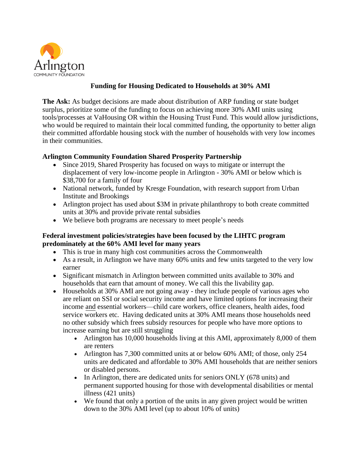

## **Funding for Housing Dedicated to Households at 30% AMI**

**The Ask:** As budget decisions are made about distribution of ARP funding or state budget surplus, prioritize some of the funding to focus on achieving more 30% AMI units using tools/processes at VaHousing OR within the Housing Trust Fund. This would allow jurisdictions, who would be required to maintain their local committed funding, the opportunity to better align their committed affordable housing stock with the number of households with very low incomes in their communities.

## **Arlington Community Foundation Shared Prosperity Partnership**

- Since 2019, Shared Prosperity has focused on ways to mitigate or interrupt the displacement of very low-income people in Arlington - 30% AMI or below which is \$38,700 for a family of four
- National network, funded by Kresge Foundation, with research support from Urban Institute and Brookings
- Arlington project has used about \$3M in private philanthropy to both create committed units at 30% and provide private rental subsidies
- We believe both programs are necessary to meet people's needs

## **Federal investment policies/strategies have been focused by the LIHTC program predominately at the 60% AMI level for many years**

- This is true in many high cost communities across the Commonwealth
- As a result, in Arlington we have many 60% units and few units targeted to the very low earner
- Significant mismatch in Arlington between committed units available to 30% and households that earn that amount of money. We call this the livability gap.
- Households at 30% AMI are not going away they include people of various ages who are reliant on SSI or social security income and have limited options for increasing their income and essential workers—child care workers, office cleaners, health aides, food service workers etc. Having dedicated units at 30% AMI means those households need no other subsidy which frees subsidy resources for people who have more options to increase earning but are still struggling
	- Arlington has 10,000 households living at this AMI, approximately 8,000 of them are renters
	- Arlington has 7,300 committed units at or below 60% AMI; of those, only 254 units are dedicated and affordable to 30% AMI households that are neither seniors or disabled persons.
	- In Arlington, there are dedicated units for seniors ONLY (678 units) and permanent supported housing for those with developmental disabilities or mental illness (421 units)
	- We found that only a portion of the units in any given project would be written down to the 30% AMI level (up to about 10% of units)